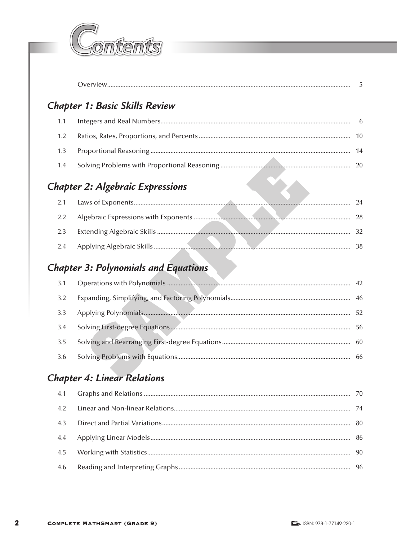

# Chapter 1: Basic Skills Review

### **Chapter 2: Algebraic Expressions**

| 2.1 |  | 94 |
|-----|--|----|
| 2.2 |  |    |
| 2.3 |  |    |
| 2.4 |  |    |

## **Chapter 3: Polynomials and Equations**

| 3.1 | 42 |
|-----|----|
| 3.2 |    |
| 3.3 | 52 |
| 3.4 | 56 |
| 3.5 |    |
| 3.6 | 66 |

#### **Chapter 4: Linear Relations**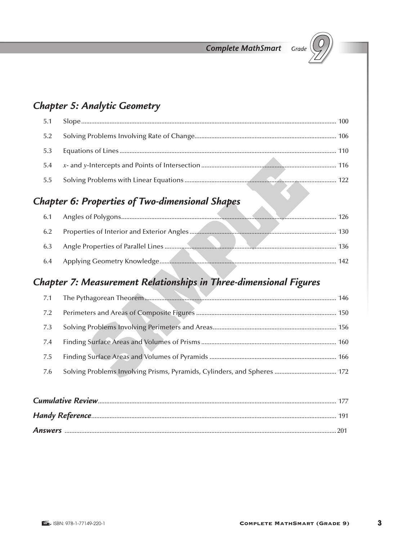

## **Chapter 5: Analytic Geometry**

| 5.1 |  |
|-----|--|
|     |  |
| 5.3 |  |
|     |  |
| 5.5 |  |

### **Chapter 6: Properties of Two-dimensional Shapes**

|     | 126 |
|-----|-----|
| 6.2 |     |
| 6.3 | 136 |
| 6.4 | 142 |
|     |     |

### Chapter 7: Measurement Relationships in Three-dimensional Figures

| 7.1 |  |
|-----|--|
| 7.2 |  |
| 7.3 |  |
| 7.4 |  |
| 7.5 |  |
| 7.6 |  |
|     |  |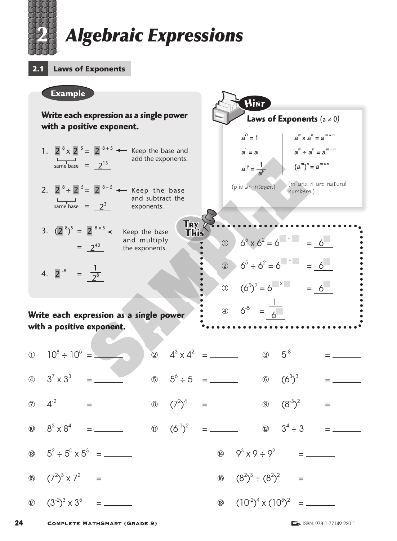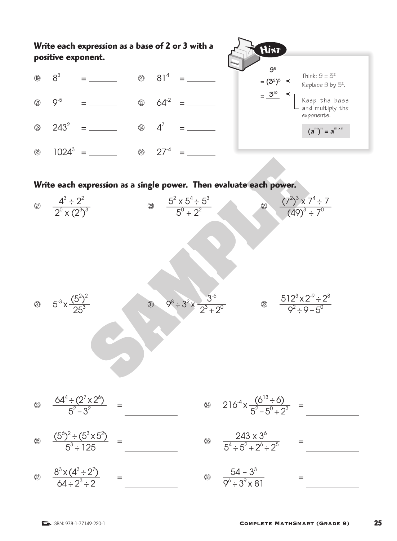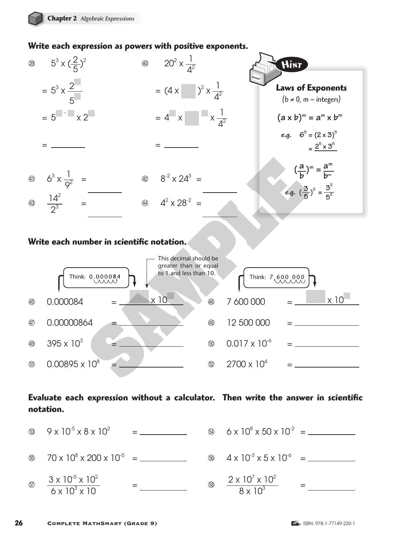#### **Write each expression as powers with positive exponents.**



#### **Write each number in scientific notation.**



#### **Evaluate each expression without a calculator. Then write the answer in scientific notation.**